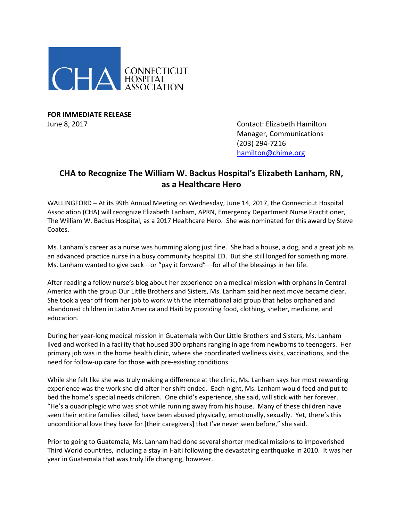

**FOR IMMEDIATE RELEASE**

June 8, 2017 Contact: Elizabeth Hamilton Manager, Communications (203) 294-7216 [hamilton@chime.org](mailto:hamilton@chime.org)

## **CHA to Recognize The William W. Backus Hospital's Elizabeth Lanham, RN, as a Healthcare Hero**

WALLINGFORD – At its 99th Annual Meeting on Wednesday, June 14, 2017, the Connecticut Hospital Association (CHA) will recognize Elizabeth Lanham, APRN, Emergency Department Nurse Practitioner, The William W. Backus Hospital, as a 2017 Healthcare Hero. She was nominated for this award by Steve Coates.

Ms. Lanham's career as a nurse was humming along just fine. She had a house, a dog, and a great job as an advanced practice nurse in a busy community hospital ED. But she still longed for something more. Ms. Lanham wanted to give back—or "pay it forward"—for all of the blessings in her life.

After reading a fellow nurse's blog about her experience on a medical mission with orphans in Central America with the group Our Little Brothers and Sisters, Ms. Lanham said her next move became clear. She took a year off from her job to work with the international aid group that helps orphaned and abandoned children in Latin America and Haiti by providing food, clothing, shelter, medicine, and education.

During her year-long medical mission in Guatemala with Our Little Brothers and Sisters, Ms. Lanham lived and worked in a facility that housed 300 orphans ranging in age from newborns to teenagers. Her primary job was in the home health clinic, where she coordinated wellness visits, vaccinations, and the need for follow-up care for those with pre-existing conditions.

While she felt like she was truly making a difference at the clinic, Ms. Lanham says her most rewarding experience was the work she did after her shift ended. Each night, Ms. Lanham would feed and put to bed the home's special needs children. One child's experience, she said, will stick with her forever. "He's a quadriplegic who was shot while running away from his house. Many of these children have seen their entire families killed, have been abused physically, emotionally, sexually. Yet, there's this unconditional love they have for [their caregivers] that I've never seen before," she said.

Prior to going to Guatemala, Ms. Lanham had done several shorter medical missions to impoverished Third World countries, including a stay in Haiti following the devastating earthquake in 2010. It was her year in Guatemala that was truly life changing, however.